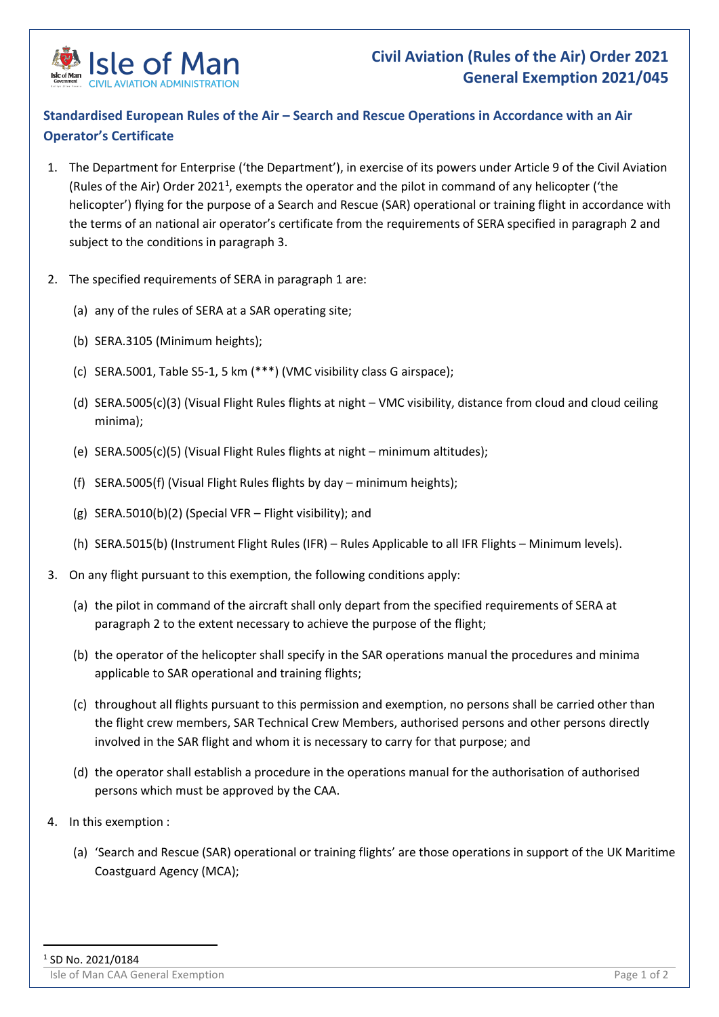

## **Standardised European Rules of the Air – Search and Rescue Operations in Accordance with an Air Operator's Certificate**

- 1. The Department for Enterprise ('the Department'), in exercise of its powers under Article 9 of the Civil Aviation (Rules of the Air) Order 202[1](#page-0-0)<sup>1</sup>, exempts the operator and the pilot in command of any helicopter ('the helicopter') flying for the purpose of a Search and Rescue (SAR) operational or training flight in accordance with the terms of an national air operator's certificate from the requirements of SERA specified in paragraph 2 and subject to the conditions in paragraph 3.
- 2. The specified requirements of SERA in paragraph 1 are:
	- (a) any of the rules of SERA at a SAR operating site;
	- (b) SERA.3105 (Minimum heights);
	- (c) SERA.5001, Table S5-1, 5 km (\*\*\*) (VMC visibility class G airspace);
	- (d) SERA.5005(c)(3) (Visual Flight Rules flights at night VMC visibility, distance from cloud and cloud ceiling minima);
	- (e) SERA.5005(c)(5) (Visual Flight Rules flights at night minimum altitudes);
	- (f) SERA.5005(f) (Visual Flight Rules flights by day minimum heights);
	- (g) SERA.5010(b)(2) (Special VFR Flight visibility); and
	- (h) SERA.5015(b) (Instrument Flight Rules (IFR) Rules Applicable to all IFR Flights Minimum levels).
- 3. On any flight pursuant to this exemption, the following conditions apply:
	- (a) the pilot in command of the aircraft shall only depart from the specified requirements of SERA at paragraph 2 to the extent necessary to achieve the purpose of the flight;
	- (b) the operator of the helicopter shall specify in the SAR operations manual the procedures and minima applicable to SAR operational and training flights;
	- (c) throughout all flights pursuant to this permission and exemption, no persons shall be carried other than the flight crew members, SAR Technical Crew Members, authorised persons and other persons directly involved in the SAR flight and whom it is necessary to carry for that purpose; and
	- (d) the operator shall establish a procedure in the operations manual for the authorisation of authorised persons which must be approved by the CAA.
- 4. In this exemption :
	- (a) 'Search and Rescue (SAR) operational or training flights' are those operations in support of the UK Maritime Coastguard Agency (MCA);

<span id="page-0-0"></span>Isle of Man CAA General Exemption Page 1 of 2